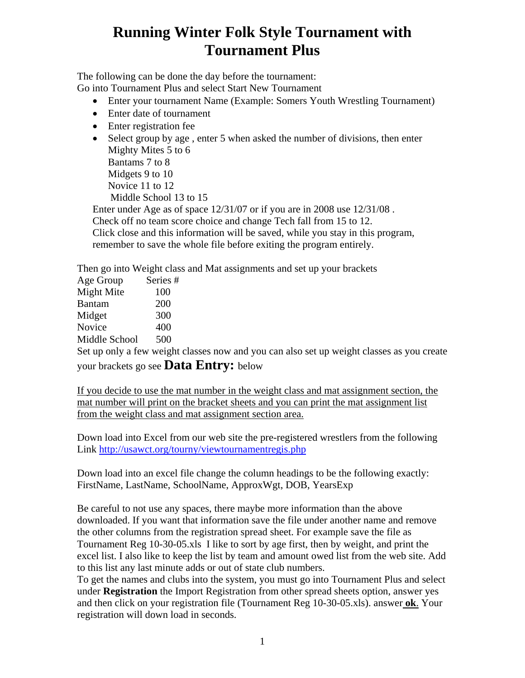## **Running Winter Folk Style Tournament with Tournament Plus**

The following can be done the day before the tournament:

Go into Tournament Plus and select Start New Tournament

- Enter your tournament Name (Example: Somers Youth Wrestling Tournament)
- Enter date of tournament
- Enter registration fee
- Select group by age , enter 5 when asked the number of divisions, then enter Mighty Mites 5 to 6 Bantams 7 to 8 Midgets 9 to 10 Novice 11 to 12 Middle School 13 to 15 Enter under Age as of space 12/31/07 or if you are in 2008 use 12/31/08 .

Check off no team score choice and change Tech fall from 15 to 12. Click close and this information will be saved, while you stay in this program, remember to save the whole file before exiting the program entirely.

Then go into Weight class and Mat assignments and set up your brackets

| Age Group     | Series# |
|---------------|---------|
| Might Mite    | 100     |
| <b>Bantam</b> | 200     |
| Midget        | 300     |
| Novice        | 400     |
| Middle School | 500     |

Set up only a few weight classes now and you can also set up weight classes as you create your brackets go see **Data Entry:** below

If you decide to use the mat number in the weight class and mat assignment section, the mat number will print on the bracket sheets and you can print the mat assignment list from the weight class and mat assignment section area.

Down load into Excel from our web site the pre-registered wrestlers from the following Link http://usawct.org/tourny/viewtournamentregis.php

Down load into an excel file change the column headings to be the following exactly: FirstName, LastName, SchoolName, ApproxWgt, DOB, YearsExp

Be careful to not use any spaces, there maybe more information than the above downloaded. If you want that information save the file under another name and remove the other columns from the registration spread sheet. For example save the file as Tournament Reg 10-30-05.xls I like to sort by age first, then by weight, and print the excel list. I also like to keep the list by team and amount owed list from the web site. Add to this list any last minute adds or out of state club numbers.

To get the names and clubs into the system, you must go into Tournament Plus and select under **Registration** the Import Registration from other spread sheets option, answer yes and then click on your registration file (Tournament Reg 10-30-05.xls). answer **ok**. Your registration will down load in seconds.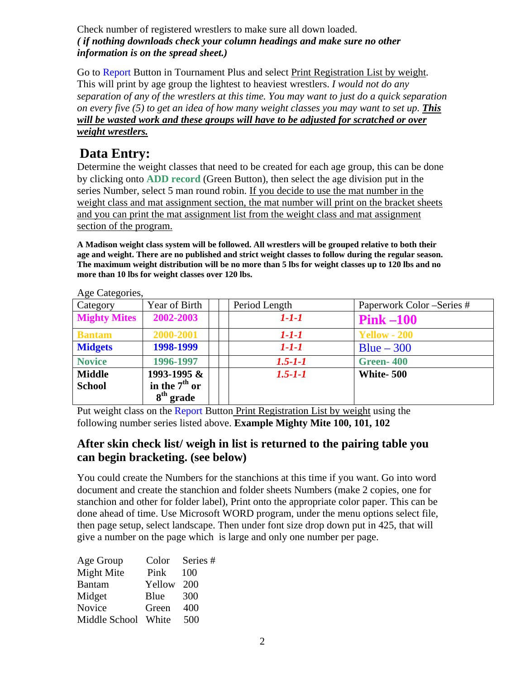#### Check number of registered wrestlers to make sure all down loaded. *( if nothing downloads check your column headings and make sure no other information is on the spread sheet.)*

Go to Report Button in Tournament Plus and select Print Registration List by weight. This will print by age group the lightest to heaviest wrestlers. *I would not do any separation of any of the wrestlers at this time. You may want to just do a quick separation on every five (5) to get an idea of how many weight classes you may want to set up. This will be wasted work and these groups will have to be adjusted for scratched or over weight wrestlers.*

## **Data Entry:**

Determine the weight classes that need to be created for each age group, this can be done by clicking onto **ADD record** (Green Button), then select the age division put in the series Number, select 5 man round robin. If you decide to use the mat number in the weight class and mat assignment section, the mat number will print on the bracket sheets and you can print the mat assignment list from the weight class and mat assignment section of the program.

**A Madison weight class system will be followed. All wrestlers will be grouped relative to both their age and weight. There are no published and strict weight classes to follow during the regular season. The maximum weight distribution will be no more than 5 lbs for weight classes up to 120 lbs and no more than 10 lbs for weight classes over 120 lbs.** 

| Category            | Year of Birth   | Period Length | Paperwork Color – Series # |
|---------------------|-----------------|---------------|----------------------------|
| <b>Mighty Mites</b> | 2002-2003       | 1-1-1         | $Pink-100$                 |
| <b>Bantam</b>       | 2000-2001       | 1-1-1         | <b>Yellow - 200</b>        |
| <b>Midgets</b>      | 1998-1999       | $1 - 1 - 1$   | $Blue - 300$               |
| <b>Novice</b>       | 1996-1997       | $1.5 - 1 - 1$ | Green-400                  |
| <b>Middle</b>       | 1993-1995 &     | $1.5 - 1 - 1$ | White-500                  |
| <b>School</b>       | in the $7th$ or |               |                            |
|                     | $8th$ grade     |               |                            |

Age Categories,

Put weight class on the Report Button Print Registration List by weight using the following number series listed above. **Example Mighty Mite 100, 101, 102**

#### **After skin check list/ weigh in list is returned to the pairing table you can begin bracketing. (see below)**

You could create the Numbers for the stanchions at this time if you want. Go into word document and create the stanchion and folder sheets Numbers (make 2 copies, one for stanchion and other for folder label), Print onto the appropriate color paper. This can be done ahead of time. Use Microsoft WORD program, under the menu options select file, then page setup, select landscape. Then under font size drop down put in 425, that will give a number on the page which is large and only one number per page.

| Age Group     | Color  | Series # |
|---------------|--------|----------|
| Might Mite    | Pink   | 100      |
| <b>Bantam</b> | Yellow | 200      |
| Midget        | Blue   | 300      |
| Novice        | Green  | 400      |
| Middle School | White  | 500      |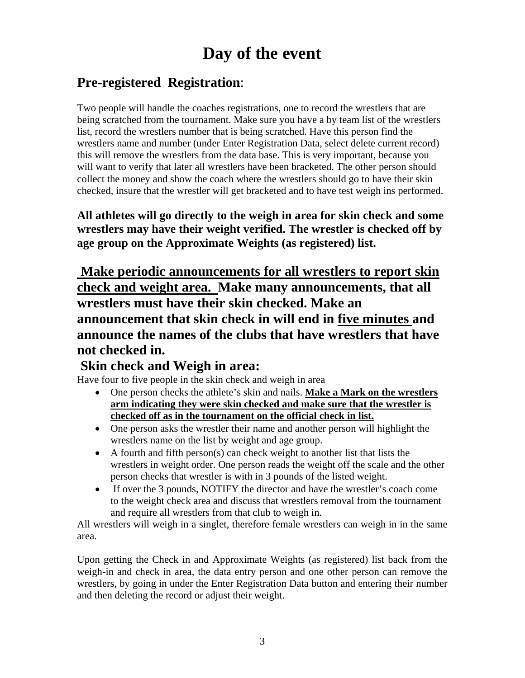# **Day of the event**

## **Pre-registered Registration**:

Two people will handle the coaches registrations, one to record the wrestlers that are being scratched from the tournament. Make sure you have a by team list of the wrestlers list, record the wrestlers number that is being scratched. Have this person find the wrestlers name and number (under Enter Registration Data, select delete current record) this will remove the wrestlers from the data base. This is very important, because you will want to verify that later all wrestlers have been bracketed. The other person should collect the money and show the coach where the wrestlers should go to have their skin checked, insure that the wrestler will get bracketed and to have test weigh ins performed.

**All athletes will go directly to the weigh in area for skin check and some wrestlers may have their weight verified. The wrestler is checked off by age group on the Approximate Weights (as registered) list.** 

 **Make periodic announcements for all wrestlers to report skin check and weight area. Make many announcements, that all wrestlers must have their skin checked. Make an announcement that skin check in will end in five minutes and announce the names of the clubs that have wrestlers that have not checked in.** 

### **Skin check and Weigh in area:**

Have four to five people in the skin check and weigh in area

- One person checks the athlete's skin and nails. **Make a Mark on the wrestlers arm indicating they were skin checked and make sure that the wrestler is checked off as in the tournament on the official check in list.**
- One person asks the wrestler their name and another person will highlight the wrestlers name on the list by weight and age group.
- A fourth and fifth person(s) can check weight to another list that lists the wrestlers in weight order. One person reads the weight off the scale and the other person checks that wrestler is with in 3 pounds of the listed weight.
- If over the 3 pounds, NOTIFY the director and have the wrestler's coach come to the weight check area and discuss that wrestlers removal from the tournament and require all wrestlers from that club to weigh in.

All wrestlers will weigh in a singlet, therefore female wrestlers can weigh in in the same area.

Upon getting the Check in and Approximate Weights (as registered) list back from the weigh-in and check in area, the data entry person and one other person can remove the wrestlers, by going in under the Enter Registration Data button and entering their number and then deleting the record or adjust their weight.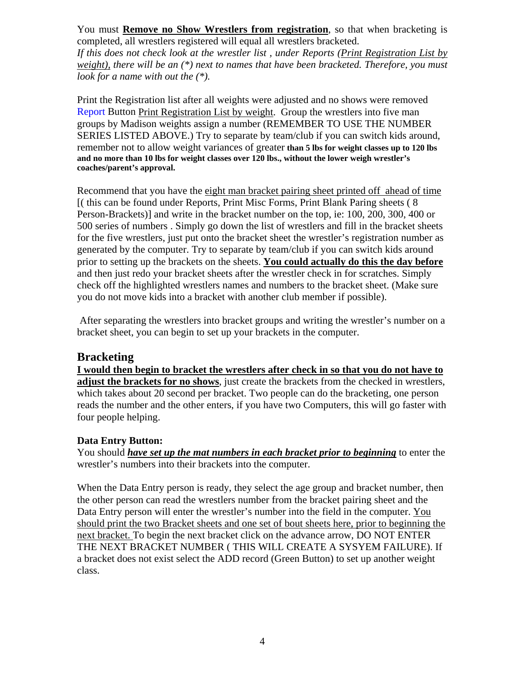You must **Remove no Show Wrestlers from registration**, so that when bracketing is completed, all wrestlers registered will equal all wrestlers bracketed.

*If this does not check look at the wrestler list , under Reports (Print Registration List by weight), there will be an (\*) next to names that have been bracketed. Therefore, you must look for a name with out the (\*).* 

Print the Registration list after all weights were adjusted and no shows were removed Report Button Print Registration List by weight. Group the wrestlers into five man groups by Madison weights assign a number (REMEMBER TO USE THE NUMBER SERIES LISTED ABOVE.) Try to separate by team/club if you can switch kids around, remember not to allow weight variances of greater **than 5 lbs for weight classes up to 120 lbs and no more than 10 lbs for weight classes over 120 lbs., without the lower weigh wrestler's coaches/parent's approval.**

Recommend that you have the eight man bracket pairing sheet printed off ahead of time [( this can be found under Reports, Print Misc Forms, Print Blank Paring sheets ( 8 Person-Brackets)] and write in the bracket number on the top, ie: 100, 200, 300, 400 or 500 series of numbers . Simply go down the list of wrestlers and fill in the bracket sheets for the five wrestlers, just put onto the bracket sheet the wrestler's registration number as generated by the computer. Try to separate by team/club if you can switch kids around prior to setting up the brackets on the sheets. **You could actually do this the day before** and then just redo your bracket sheets after the wrestler check in for scratches. Simply check off the highlighted wrestlers names and numbers to the bracket sheet. (Make sure you do not move kids into a bracket with another club member if possible).

 After separating the wrestlers into bracket groups and writing the wrestler's number on a bracket sheet, you can begin to set up your brackets in the computer.

#### **Bracketing**

**I would then begin to bracket the wrestlers after check in so that you do not have to adjust the brackets for no shows**, just create the brackets from the checked in wrestlers, which takes about 20 second per bracket. Two people can do the bracketing, one person reads the number and the other enters, if you have two Computers, this will go faster with four people helping.

#### **Data Entry Button:**

You should *have set up the mat numbers in each bracket prior to beginning* to enter the wrestler's numbers into their brackets into the computer.

When the Data Entry person is ready, they select the age group and bracket number, then the other person can read the wrestlers number from the bracket pairing sheet and the Data Entry person will enter the wrestler's number into the field in the computer. You should print the two Bracket sheets and one set of bout sheets here, prior to beginning the next bracket. To begin the next bracket click on the advance arrow, DO NOT ENTER THE NEXT BRACKET NUMBER ( THIS WILL CREATE A SYSYEM FAILURE). If a bracket does not exist select the ADD record (Green Button) to set up another weight class.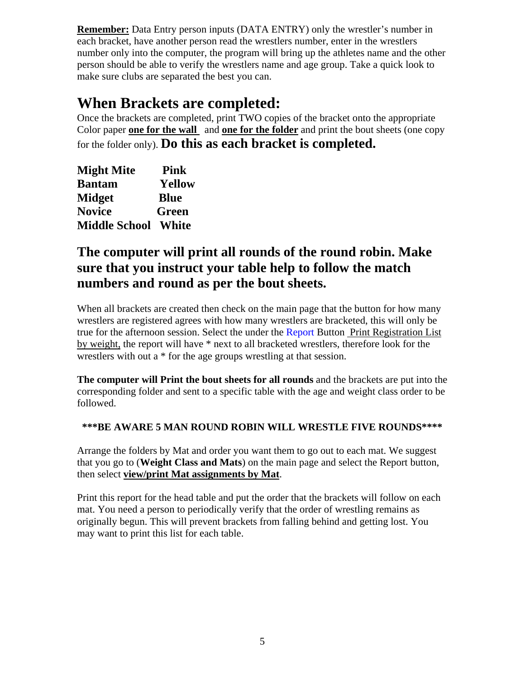**Remember:** Data Entry person inputs (DATA ENTRY) only the wrestler's number in each bracket, have another person read the wrestlers number, enter in the wrestlers number only into the computer, the program will bring up the athletes name and the other person should be able to verify the wrestlers name and age group. Take a quick look to make sure clubs are separated the best you can.

## **When Brackets are completed:**

Once the brackets are completed, print TWO copies of the bracket onto the appropriate Color paper **one for the wall** and **one for the folder** and print the bout sheets (one copy for the folder only). **Do this as each bracket is completed.** 

| <b>Might Mite</b>    | <b>Pink</b> |
|----------------------|-------------|
| <b>Bantam</b>        | Yellow      |
| <b>Midget</b>        | <b>Blue</b> |
| <b>Novice</b>        | Green       |
| <b>Middle School</b> | White       |

### **The computer will print all rounds of the round robin. Make sure that you instruct your table help to follow the match numbers and round as per the bout sheets.**

When all brackets are created then check on the main page that the button for how many wrestlers are registered agrees with how many wrestlers are bracketed, this will only be true for the afternoon session. Select the under the Report Button Print Registration List by weight, the report will have \* next to all bracketed wrestlers, therefore look for the wrestlers with out a \* for the age groups wrestling at that session.

**The computer will Print the bout sheets for all rounds** and the brackets are put into the corresponding folder and sent to a specific table with the age and weight class order to be followed.

#### **\*\*\*BE AWARE 5 MAN ROUND ROBIN WILL WRESTLE FIVE ROUNDS\*\*\*\***

Arrange the folders by Mat and order you want them to go out to each mat. We suggest that you go to (**Weight Class and Mats**) on the main page and select the Report button, then select **view/print Mat assignments by Mat**.

Print this report for the head table and put the order that the brackets will follow on each mat. You need a person to periodically verify that the order of wrestling remains as originally begun. This will prevent brackets from falling behind and getting lost. You may want to print this list for each table.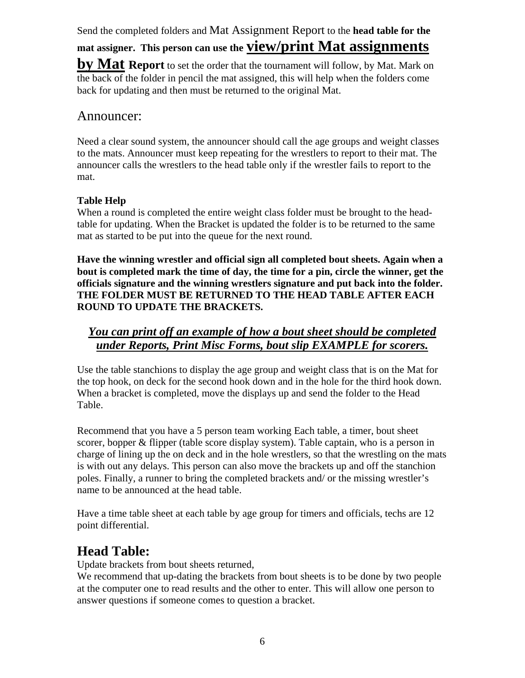Send the completed folders and Mat Assignment Report to the **head table for the** 

**mat assigner. This person can use the view/print Mat assignments** 

**by Mat Report** to set the order that the tournament will follow, by Mat. Mark on the back of the folder in pencil the mat assigned, this will help when the folders come back for updating and then must be returned to the original Mat.

#### Announcer:

Need a clear sound system, the announcer should call the age groups and weight classes to the mats. Announcer must keep repeating for the wrestlers to report to their mat. The announcer calls the wrestlers to the head table only if the wrestler fails to report to the mat.

#### **Table Help**

When a round is completed the entire weight class folder must be brought to the headtable for updating. When the Bracket is updated the folder is to be returned to the same mat as started to be put into the queue for the next round.

**Have the winning wrestler and official sign all completed bout sheets. Again when a bout is completed mark the time of day, the time for a pin, circle the winner, get the officials signature and the winning wrestlers signature and put back into the folder. THE FOLDER MUST BE RETURNED TO THE HEAD TABLE AFTER EACH ROUND TO UPDATE THE BRACKETS.** 

#### *You can print off an example of how a bout sheet should be completed under Reports, Print Misc Forms, bout slip EXAMPLE for scorers.*

Use the table stanchions to display the age group and weight class that is on the Mat for the top hook, on deck for the second hook down and in the hole for the third hook down. When a bracket is completed, move the displays up and send the folder to the Head Table.

Recommend that you have a 5 person team working Each table, a timer, bout sheet scorer, bopper & flipper (table score display system). Table captain, who is a person in charge of lining up the on deck and in the hole wrestlers, so that the wrestling on the mats is with out any delays. This person can also move the brackets up and off the stanchion poles. Finally, a runner to bring the completed brackets and/ or the missing wrestler's name to be announced at the head table.

Have a time table sheet at each table by age group for timers and officials, techs are 12 point differential.

## **Head Table:**

Update brackets from bout sheets returned,

We recommend that up-dating the brackets from bout sheets is to be done by two people at the computer one to read results and the other to enter. This will allow one person to answer questions if someone comes to question a bracket.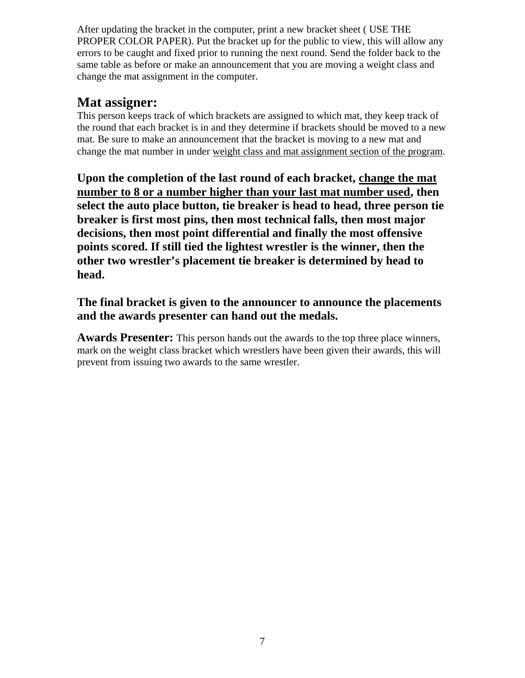After updating the bracket in the computer, print a new bracket sheet ( USE THE PROPER COLOR PAPER). Put the bracket up for the public to view, this will allow any errors to be caught and fixed prior to running the next round. Send the folder back to the same table as before or make an announcement that you are moving a weight class and change the mat assignment in the computer.

### **Mat assigner:**

This person keeps track of which brackets are assigned to which mat, they keep track of the round that each bracket is in and they determine if brackets should be moved to a new mat. Be sure to make an announcement that the bracket is moving to a new mat and change the mat number in under weight class and mat assignment section of the program.

**Upon the completion of the last round of each bracket, change the mat number to 8 or a number higher than your last mat number used, then select the auto place button, tie breaker is head to head, three person tie breaker is first most pins, then most technical falls, then most major decisions, then most point differential and finally the most offensive points scored. If still tied the lightest wrestler is the winner, then the other two wrestler's placement tie breaker is determined by head to head.** 

#### **The final bracket is given to the announcer to announce the placements and the awards presenter can hand out the medals.**

**Awards Presenter:** This person hands out the awards to the top three place winners, mark on the weight class bracket which wrestlers have been given their awards, this will prevent from issuing two awards to the same wrestler.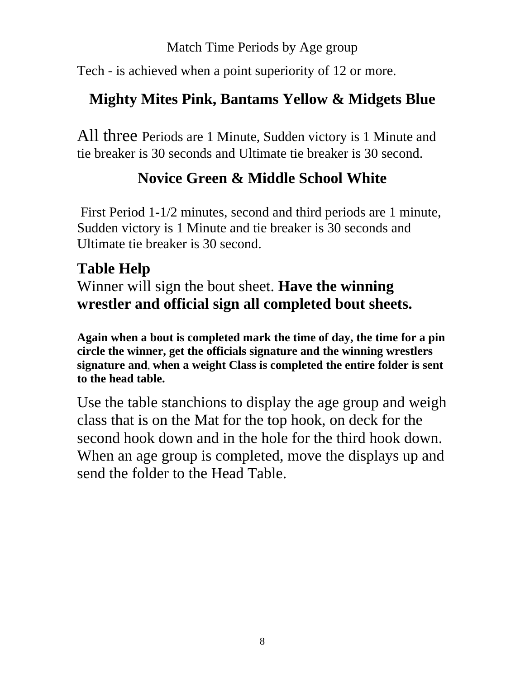## Match Time Periods by Age group

Tech - is achieved when a point superiority of 12 or more.

## **Mighty Mites Pink, Bantams Yellow & Midgets Blue**

All three Periods are 1 Minute, Sudden victory is 1 Minute and tie breaker is 30 seconds and Ultimate tie breaker is 30 second.

## **Novice Green & Middle School White**

 First Period 1-1/2 minutes, second and third periods are 1 minute, Sudden victory is 1 Minute and tie breaker is 30 seconds and Ultimate tie breaker is 30 second.

## **Table Help**

Winner will sign the bout sheet. **Have the winning wrestler and official sign all completed bout sheets.** 

**Again when a bout is completed mark the time of day, the time for a pin circle the winner, get the officials signature and the winning wrestlers signature and**, **when a weight Class is completed the entire folder is sent to the head table.** 

Use the table stanchions to display the age group and weigh class that is on the Mat for the top hook, on deck for the second hook down and in the hole for the third hook down. When an age group is completed, move the displays up and send the folder to the Head Table.